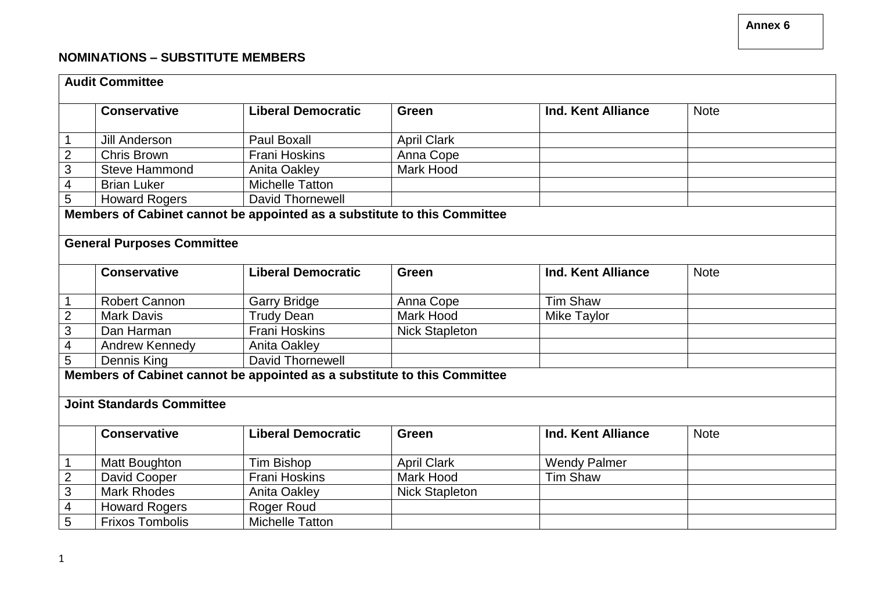## **NOMINATIONS – SUBSTITUTE MEMBERS**

| <b>Audit Committee</b>                                                   |                                                                          |                           |                       |                           |             |  |
|--------------------------------------------------------------------------|--------------------------------------------------------------------------|---------------------------|-----------------------|---------------------------|-------------|--|
|                                                                          | <b>Conservative</b>                                                      | <b>Liberal Democratic</b> | Green                 | <b>Ind. Kent Alliance</b> | <b>Note</b> |  |
|                                                                          |                                                                          |                           |                       |                           |             |  |
| $\mathbf 1$                                                              | <b>Jill Anderson</b>                                                     | <b>Paul Boxall</b>        | <b>April Clark</b>    |                           |             |  |
| $\overline{2}$                                                           | Chris Brown                                                              | <b>Frani Hoskins</b>      | Anna Cope             |                           |             |  |
| 3                                                                        | <b>Steve Hammond</b>                                                     | Anita Oakley              | Mark Hood             |                           |             |  |
| $\overline{\mathcal{A}}$                                                 | <b>Brian Luker</b>                                                       | <b>Michelle Tatton</b>    |                       |                           |             |  |
| $\overline{5}$                                                           | <b>Howard Rogers</b>                                                     | David Thornewell          |                       |                           |             |  |
|                                                                          | Members of Cabinet cannot be appointed as a substitute to this Committee |                           |                       |                           |             |  |
|                                                                          | <b>General Purposes Committee</b>                                        |                           |                       |                           |             |  |
|                                                                          |                                                                          |                           |                       |                           |             |  |
|                                                                          | <b>Conservative</b>                                                      | <b>Liberal Democratic</b> | Green                 | Ind. Kent Alliance        | <b>Note</b> |  |
| $\mathbf 1$                                                              | <b>Robert Cannon</b>                                                     | <b>Garry Bridge</b>       | Anna Cope             | <b>Tim Shaw</b>           |             |  |
| $\overline{2}$                                                           | <b>Mark Davis</b>                                                        | <b>Trudy Dean</b>         | <b>Mark Hood</b>      | Mike Taylor               |             |  |
| 3                                                                        | Dan Harman                                                               | <b>Frani Hoskins</b>      | <b>Nick Stapleton</b> |                           |             |  |
| $\overline{\mathbf{4}}$                                                  | Andrew Kennedy                                                           | <b>Anita Oakley</b>       |                       |                           |             |  |
| 5                                                                        | Dennis King                                                              | <b>David Thornewell</b>   |                       |                           |             |  |
| Members of Cabinet cannot be appointed as a substitute to this Committee |                                                                          |                           |                       |                           |             |  |
|                                                                          |                                                                          |                           |                       |                           |             |  |
| <b>Joint Standards Committee</b>                                         |                                                                          |                           |                       |                           |             |  |
|                                                                          |                                                                          |                           |                       |                           |             |  |
|                                                                          | <b>Conservative</b>                                                      | <b>Liberal Democratic</b> | <b>Green</b>          | <b>Ind. Kent Alliance</b> | <b>Note</b> |  |
| $\mathbf 1$                                                              | Matt Boughton                                                            | <b>Tim Bishop</b>         | <b>April Clark</b>    | <b>Wendy Palmer</b>       |             |  |
| $\mathbf 2$                                                              | David Cooper                                                             | <b>Frani Hoskins</b>      | <b>Mark Hood</b>      | <b>Tim Shaw</b>           |             |  |
| 3                                                                        | <b>Mark Rhodes</b>                                                       | <b>Anita Oakley</b>       | <b>Nick Stapleton</b> |                           |             |  |
| $\overline{\mathbf{4}}$                                                  | <b>Howard Rogers</b>                                                     | Roger Roud                |                       |                           |             |  |
| $\overline{5}$                                                           | <b>Frixos Tombolis</b>                                                   | <b>Michelle Tatton</b>    |                       |                           |             |  |

**Annex 6**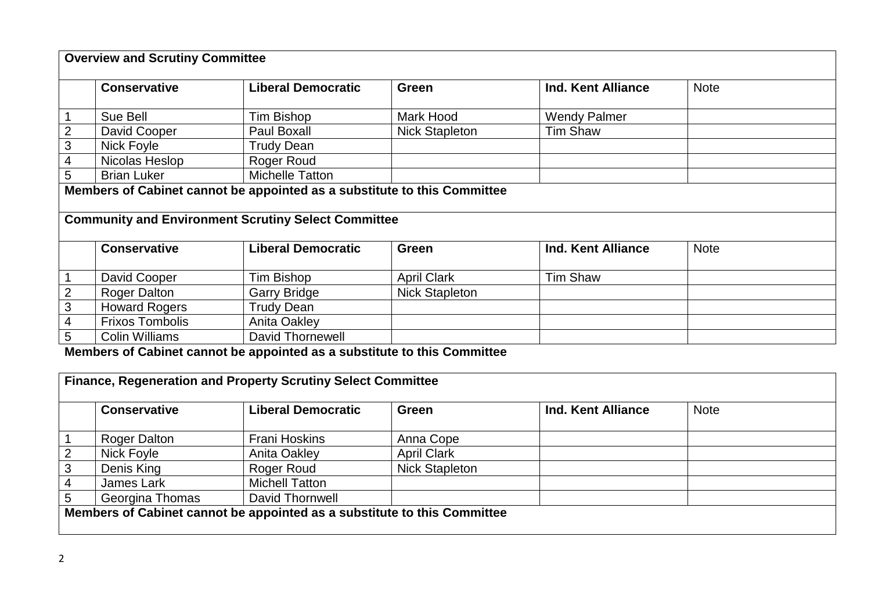| <b>Overview and Scrutiny Committee</b>                                   |                        |                                                            |                       |                           |             |  |
|--------------------------------------------------------------------------|------------------------|------------------------------------------------------------|-----------------------|---------------------------|-------------|--|
|                                                                          |                        |                                                            |                       |                           |             |  |
|                                                                          | <b>Conservative</b>    | <b>Liberal Democratic</b>                                  | <b>Green</b>          | <b>Ind. Kent Alliance</b> | <b>Note</b> |  |
|                                                                          |                        |                                                            |                       |                           |             |  |
| $\mathbf 1$                                                              | Sue Bell               | Tim Bishop                                                 | Mark Hood             | <b>Wendy Palmer</b>       |             |  |
| $\overline{2}$                                                           | David Cooper           | Paul Boxall                                                | <b>Nick Stapleton</b> | <b>Tim Shaw</b>           |             |  |
| $\mathfrak{S}$                                                           | Nick Foyle             | <b>Trudy Dean</b>                                          |                       |                           |             |  |
| 4                                                                        | Nicolas Heslop         | Roger Roud                                                 |                       |                           |             |  |
| 5                                                                        | <b>Brian Luker</b>     | <b>Michelle Tatton</b>                                     |                       |                           |             |  |
| Members of Cabinet cannot be appointed as a substitute to this Committee |                        |                                                            |                       |                           |             |  |
|                                                                          |                        |                                                            |                       |                           |             |  |
|                                                                          |                        | <b>Community and Environment Scrutiny Select Committee</b> |                       |                           |             |  |
|                                                                          |                        |                                                            |                       |                           |             |  |
|                                                                          | <b>Conservative</b>    | <b>Liberal Democratic</b>                                  | Green                 | Ind. Kent Alliance        | <b>Note</b> |  |
|                                                                          |                        |                                                            |                       |                           |             |  |
|                                                                          | David Cooper           | Tim Bishop                                                 | <b>April Clark</b>    | <b>Tim Shaw</b>           |             |  |
| $\overline{2}$                                                           | <b>Roger Dalton</b>    | <b>Garry Bridge</b>                                        | <b>Nick Stapleton</b> |                           |             |  |
| $\overline{3}$                                                           | <b>Howard Rogers</b>   | <b>Trudy Dean</b>                                          |                       |                           |             |  |
| 4                                                                        | <b>Frixos Tombolis</b> | Anita Oakley                                               |                       |                           |             |  |
| 5                                                                        | <b>Colin Williams</b>  | David Thornewell                                           |                       |                           |             |  |

**Members of Cabinet cannot be appointed as a substitute to this Committee**

|                                                                          | <b>Conservative</b> | <b>Liberal Democratic</b> | Green                 | Ind. Kent Alliance | <b>Note</b> |  |
|--------------------------------------------------------------------------|---------------------|---------------------------|-----------------------|--------------------|-------------|--|
|                                                                          | <b>Roger Dalton</b> | <b>Frani Hoskins</b>      | Anna Cope             |                    |             |  |
| $\overline{2}$                                                           | <b>Nick Foyle</b>   | <b>Anita Oakley</b>       | <b>April Clark</b>    |                    |             |  |
| 3                                                                        | Denis King          | Roger Roud                | <b>Nick Stapleton</b> |                    |             |  |
| 4                                                                        | James Lark          | <b>Michell Tatton</b>     |                       |                    |             |  |
| 5                                                                        | Georgina Thomas     | David Thornwell           |                       |                    |             |  |
| Members of Cabinet cannot be appointed as a substitute to this Committee |                     |                           |                       |                    |             |  |
|                                                                          |                     |                           |                       |                    |             |  |